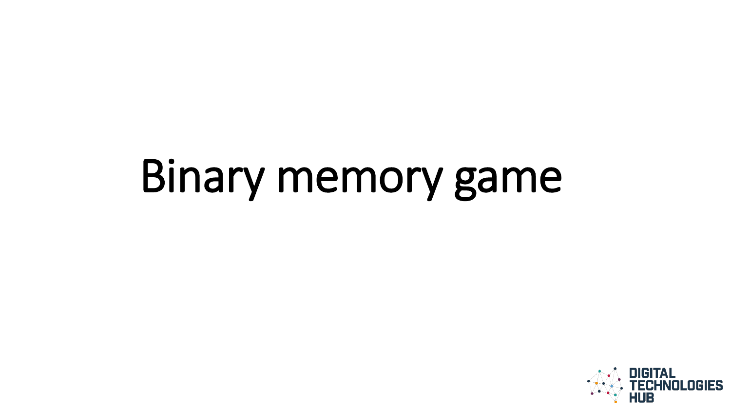# Binary memory game

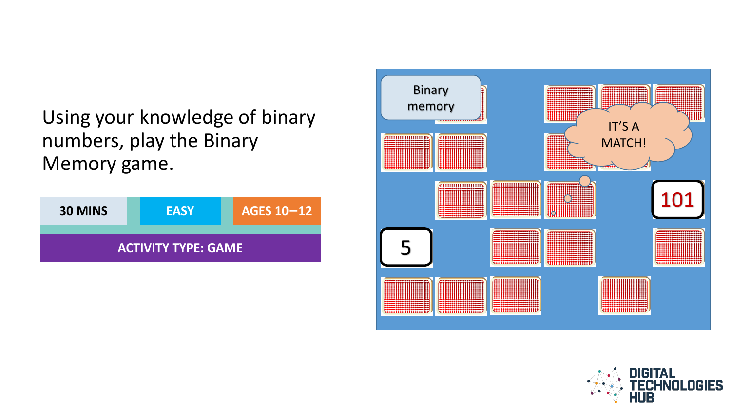Using your knowledge of binary numbers, play the Binary Memory game.





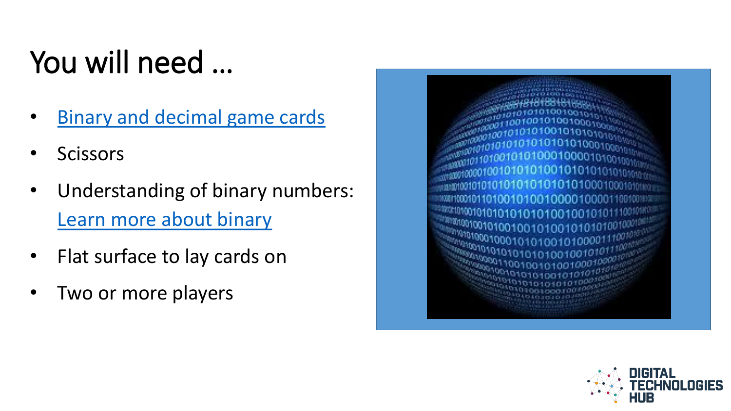## You will need …

- [Binary and decimal game cards](http://www.digitaltechnologieshub.edu.au/docs/default-source/family-tasks/memory-cards_ed.pdf)
- Scissors
- Understanding of binary numbers: [Learn more about binary](#page-3-0)
- Flat surface to lay cards on
- Two or more players



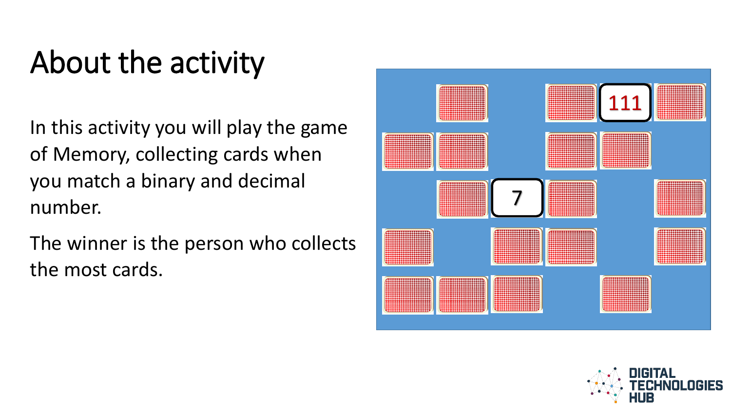## About the activity

In this activity you will play the game of Memory, collecting cards when you match a binary and decimal number.

<span id="page-3-0"></span>The winner is the person who collects the most cards.



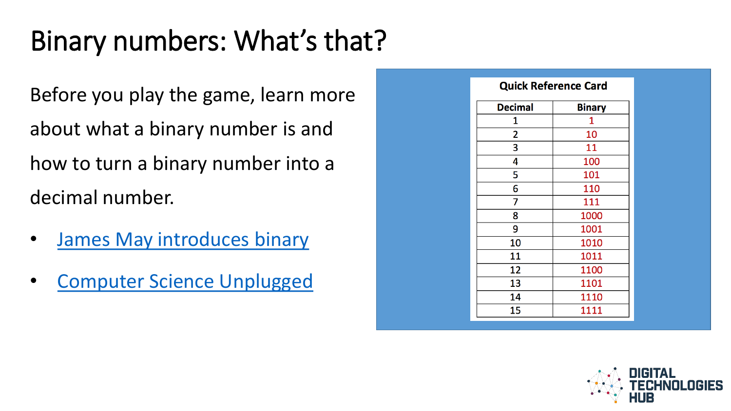### Binary numbers: What's that?

Before you play the game, learn more about what a binary number is and how to turn a binary number into a decimal number.

- [James May introduces binary](https://youtu.be/kcTwu6TFZ08)
- [Computer Science Unplugged](https://www.youtube.com/watch?v=b6vHZ95XDwU&feature=youtu.be)

|                | <b>Quick Reference Card</b> |  |  |  |  |  |
|----------------|-----------------------------|--|--|--|--|--|
| <b>Decimal</b> | <b>Binary</b>               |  |  |  |  |  |
| 1              | 1                           |  |  |  |  |  |
| $\overline{2}$ | 10                          |  |  |  |  |  |
| 3              | 11                          |  |  |  |  |  |
| 4              | 100                         |  |  |  |  |  |
| 5              | 101                         |  |  |  |  |  |
| 6              | 110                         |  |  |  |  |  |
| 7              | 111                         |  |  |  |  |  |
| 8              | 1000                        |  |  |  |  |  |
| 9              | 1001                        |  |  |  |  |  |
| 10             | 1010                        |  |  |  |  |  |
| 11             | 1011                        |  |  |  |  |  |
| 12             | 1100                        |  |  |  |  |  |
| 13             | 1101                        |  |  |  |  |  |
| 14             | 1110                        |  |  |  |  |  |
| 15             | 1111                        |  |  |  |  |  |

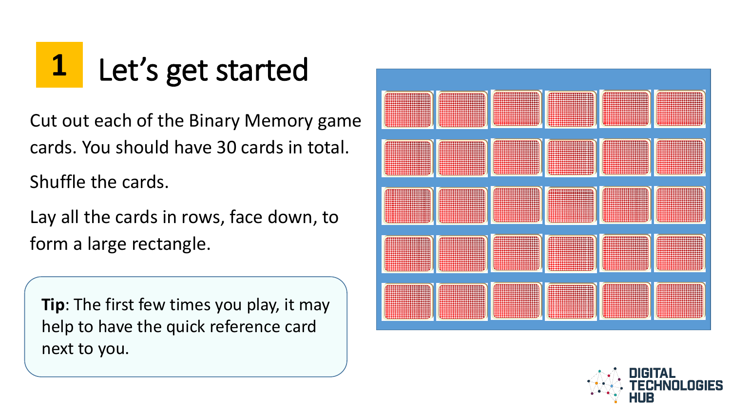## **1** Let's get started

Cut out each of the Binary Memory game cards. You should have 30 cards in total.

Shuffle the cards.

Lay all the cards in rows, face down, to form a large rectangle.

**Tip**: The first few times you play, it may help to have the quick reference card next to you.



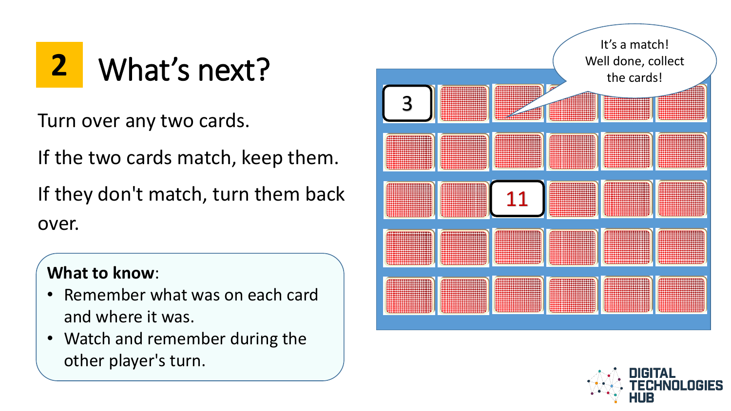Turn over any two cards.

If the two cards match, keep them.

If they don't match, turn them back over.

#### **What to know**:

- Remember what was on each card and where it was.
- Watch and remember during the other player's turn.



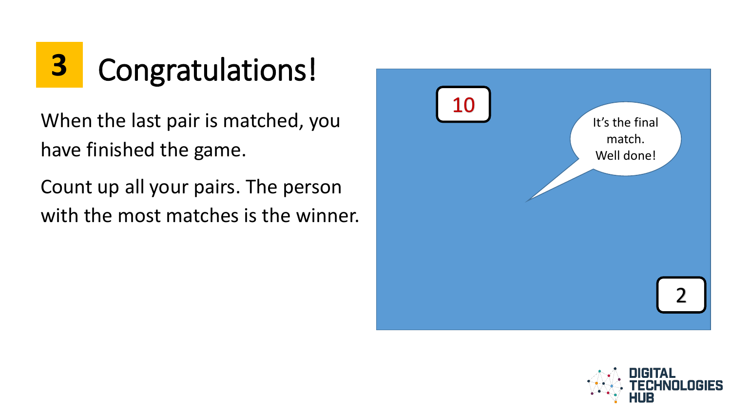## **3** Congratulations!

When the last pair is matched, you have finished the game.

Count up all your pairs. The person with the most matches is the winner.



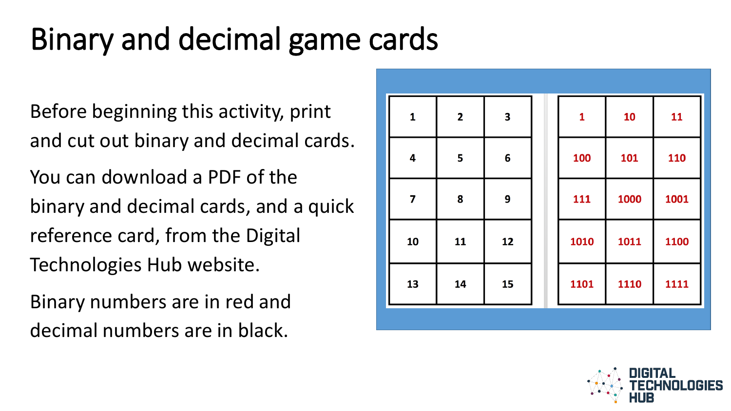### Binary and decimal game cards

Before beginning this activity, print and cut out binary and decimal cards. You can download a PDF of the binary and decimal cards, and a quick reference card, from the Digital Technologies Hub website.

Binary numbers are in red and decimal numbers are in black.

| $\mathbf{1}$            | $\overline{\mathbf{2}}$ | $\overline{\mathbf{3}}$ | $\mathbf{1}$ | 10   | 11   |
|-------------------------|-------------------------|-------------------------|--------------|------|------|
| $\overline{\mathbf{4}}$ | 5                       | $6\phantom{1}6$         | 100          | 101  | 110  |
| $\overline{\mathbf{z}}$ | 8                       | 9                       | 111          | 1000 | 1001 |
| 10                      | 11                      | 12                      | 1010         | 1011 | 1100 |
| 13                      | 14                      | 15                      | 1101         | 1110 | 1111 |
|                         |                         |                         |              |      |      |